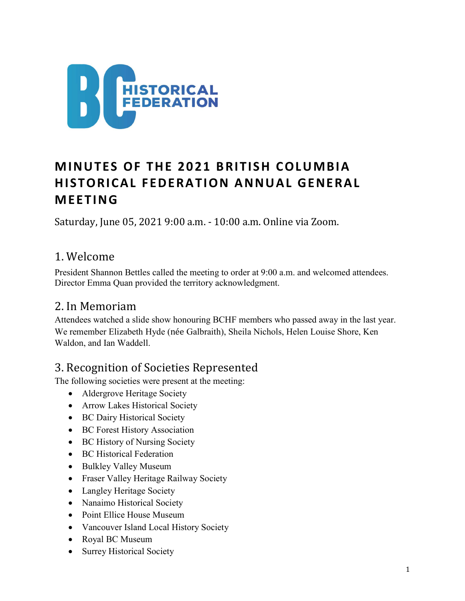

# MINUTES OF THE 2021 BRITISH COLUMBIA HISTORICAL FEDERATION ANNUAL GENERAL **MEETING**

Saturday, June 05, 2021 9:00 a.m. - 10:00 a.m. Online via Zoom.

### 1. Welcome

President Shannon Bettles called the meeting to order at 9:00 a.m. and welcomed attendees. Director Emma Quan provided the territory acknowledgment.

### 2. In Memoriam

Attendees watched a slide show honouring BCHF members who passed away in the last year. We remember Elizabeth Hyde (née Galbraith), Sheila Nichols, Helen Louise Shore, Ken Waldon, and Ian Waddell.

### 3. Recognition of Societies Represented

The following societies were present at the meeting:

- Aldergrove Heritage Society
- Arrow Lakes Historical Society
- BC Dairy Historical Society
- BC Forest History Association
- BC History of Nursing Society
- BC Historical Federation
- Bulkley Valley Museum
- Fraser Valley Heritage Railway Society
- Langley Heritage Society
- Nanaimo Historical Society
- Point Ellice House Museum
- Vancouver Island Local History Society
- Royal BC Museum
- Surrey Historical Society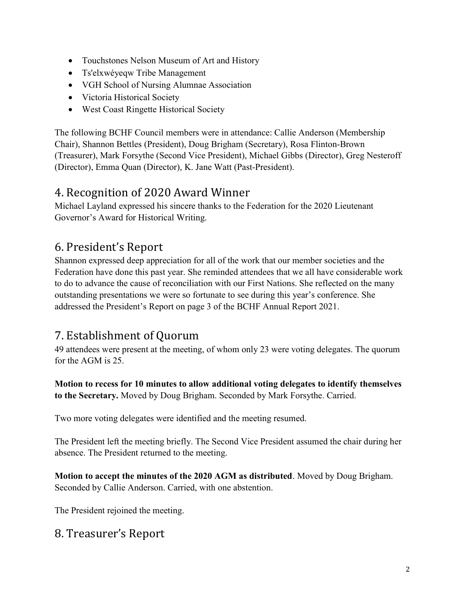- Touchstones Nelson Museum of Art and History
- Ts'elxwéyeqw Tribe Management
- VGH School of Nursing Alumnae Association
- Victoria Historical Society
- West Coast Ringette Historical Society

The following BCHF Council members were in attendance: Callie Anderson (Membership Chair), Shannon Bettles (President), Doug Brigham (Secretary), Rosa Flinton-Brown (Treasurer), Mark Forsythe (Second Vice President), Michael Gibbs (Director), Greg Nesteroff (Director), Emma Quan (Director), K. Jane Watt (Past-President).

#### 4. Recognition of 2020 Award Winner

Michael Layland expressed his sincere thanks to the Federation for the 2020 Lieutenant Governor's Award for Historical Writing.

### 6. President's Report

Shannon expressed deep appreciation for all of the work that our member societies and the Federation have done this past year. She reminded attendees that we all have considerable work to do to advance the cause of reconciliation with our First Nations. She reflected on the many outstanding presentations we were so fortunate to see during this year's conference. She addressed the President's Report on page 3 of the BCHF Annual Report 2021.

### 7. Establishment of Quorum

49 attendees were present at the meeting, of whom only 23 were voting delegates. The quorum for the AGM is 25.

Motion to recess for 10 minutes to allow additional voting delegates to identify themselves to the Secretary. Moved by Doug Brigham. Seconded by Mark Forsythe. Carried.

Two more voting delegates were identified and the meeting resumed.

The President left the meeting briefly. The Second Vice President assumed the chair during her absence. The President returned to the meeting.

Motion to accept the minutes of the 2020 AGM as distributed. Moved by Doug Brigham. Seconded by Callie Anderson. Carried, with one abstention.

The President rejoined the meeting.

#### 8. Treasurer's Report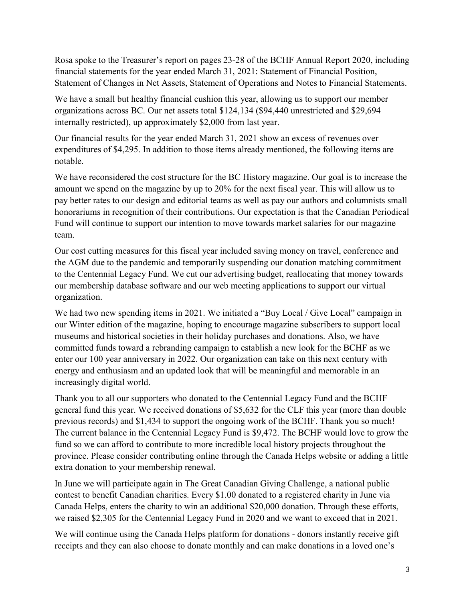Rosa spoke to the Treasurer's report on pages 23-28 of the BCHF Annual Report 2020, including financial statements for the year ended March 31, 2021: Statement of Financial Position, Statement of Changes in Net Assets, Statement of Operations and Notes to Financial Statements.

We have a small but healthy financial cushion this year, allowing us to support our member organizations across BC. Our net assets total \$124,134 (\$94,440 unrestricted and \$29,694 internally restricted), up approximately \$2,000 from last year.

Our financial results for the year ended March 31, 2021 show an excess of revenues over expenditures of \$4,295. In addition to those items already mentioned, the following items are notable.

We have reconsidered the cost structure for the BC History magazine. Our goal is to increase the amount we spend on the magazine by up to 20% for the next fiscal year. This will allow us to pay better rates to our design and editorial teams as well as pay our authors and columnists small honorariums in recognition of their contributions. Our expectation is that the Canadian Periodical Fund will continue to support our intention to move towards market salaries for our magazine team.

Our cost cutting measures for this fiscal year included saving money on travel, conference and the AGM due to the pandemic and temporarily suspending our donation matching commitment to the Centennial Legacy Fund. We cut our advertising budget, reallocating that money towards our membership database software and our web meeting applications to support our virtual organization.

We had two new spending items in 2021. We initiated a "Buy Local / Give Local" campaign in our Winter edition of the magazine, hoping to encourage magazine subscribers to support local museums and historical societies in their holiday purchases and donations. Also, we have committed funds toward a rebranding campaign to establish a new look for the BCHF as we enter our 100 year anniversary in 2022. Our organization can take on this next century with energy and enthusiasm and an updated look that will be meaningful and memorable in an increasingly digital world.

Thank you to all our supporters who donated to the Centennial Legacy Fund and the BCHF general fund this year. We received donations of \$5,632 for the CLF this year (more than double previous records) and \$1,434 to support the ongoing work of the BCHF. Thank you so much! The current balance in the Centennial Legacy Fund is \$9,472. The BCHF would love to grow the fund so we can afford to contribute to more incredible local history projects throughout the province. Please consider contributing online through the Canada Helps website or adding a little extra donation to your membership renewal.

In June we will participate again in The Great Canadian Giving Challenge, a national public contest to benefit Canadian charities. Every \$1.00 donated to a registered charity in June via Canada Helps, enters the charity to win an additional \$20,000 donation. Through these efforts, we raised \$2,305 for the Centennial Legacy Fund in 2020 and we want to exceed that in 2021.

We will continue using the Canada Helps platform for donations - donors instantly receive gift receipts and they can also choose to donate monthly and can make donations in a loved one's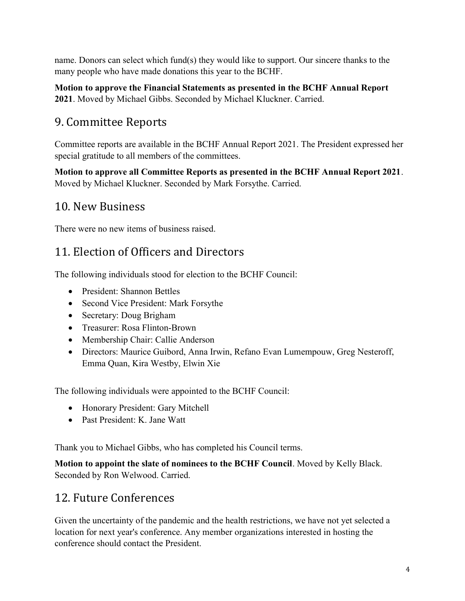name. Donors can select which fund(s) they would like to support. Our sincere thanks to the many people who have made donations this year to the BCHF.

Motion to approve the Financial Statements as presented in the BCHF Annual Report 2021. Moved by Michael Gibbs. Seconded by Michael Kluckner. Carried.

## 9. Committee Reports

Committee reports are available in the BCHF Annual Report 2021. The President expressed her special gratitude to all members of the committees.

Motion to approve all Committee Reports as presented in the BCHF Annual Report 2021. Moved by Michael Kluckner. Seconded by Mark Forsythe. Carried.

### 10. New Business

There were no new items of business raised.

## 11. Election of Officers and Directors

The following individuals stood for election to the BCHF Council:

- President: Shannon Bettles
- Second Vice President: Mark Forsythe
- Secretary: Doug Brigham
- Treasurer: Rosa Flinton-Brown
- Membership Chair: Callie Anderson
- Directors: Maurice Guibord, Anna Irwin, Refano Evan Lumempouw, Greg Nesteroff, Emma Quan, Kira Westby, Elwin Xie

The following individuals were appointed to the BCHF Council:

- Honorary President: Gary Mitchell
- Past President: K. Jane Watt

Thank you to Michael Gibbs, who has completed his Council terms.

Motion to appoint the slate of nominees to the BCHF Council. Moved by Kelly Black. Seconded by Ron Welwood. Carried.

## 12. Future Conferences

Given the uncertainty of the pandemic and the health restrictions, we have not yet selected a location for next year's conference. Any member organizations interested in hosting the conference should contact the President.